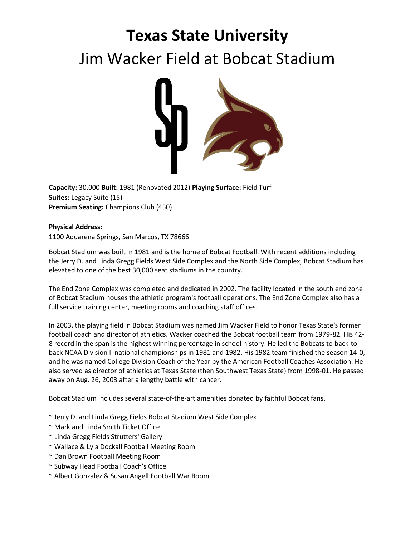## **Texas State University** Jim Wacker Field at Bobcat Stadium



**Capacity:** 30,000 **Built:** 1981 (Renovated 2012) **Playing Surface:** Field Turf **Suites:** Legacy Suite (15) **Premium Seating:** Champions Club (450)

## **Physical Address:**

1100 Aquarena Springs, San Marcos, TX 78666

Bobcat Stadium was built in 1981 and is the home of Bobcat Football. With recent additions including the Jerry D. and Linda Gregg Fields West Side Complex and the North Side Complex, Bobcat Stadium has elevated to one of the best 30,000 seat stadiums in the country.

The End Zone Complex was completed and dedicated in 2002. The facility located in the south end zone of Bobcat Stadium houses the athletic program's football operations. The End Zone Complex also has a full service training center, meeting rooms and coaching staff offices.

In 2003, the playing field in Bobcat Stadium was named Jim Wacker Field to honor Texas State's former football coach and director of athletics. Wacker coached the Bobcat football team from 1979-82. His 42- 8 record in the span is the highest winning percentage in school history. He led the Bobcats to back-toback NCAA Division II national championships in 1981 and 1982. His 1982 team finished the season 14-0, and he was named College Division Coach of the Year by the American Football Coaches Association. He also served as director of athletics at Texas State (then Southwest Texas State) from 1998-01. He passed away on Aug. 26, 2003 after a lengthy battle with cancer.

Bobcat Stadium includes several state-of-the-art amenities donated by faithful Bobcat fans.

- ~ Jerry D. and Linda Gregg Fields Bobcat Stadium West Side Complex
- ~ Mark and Linda Smith Ticket Office
- ~ Linda Gregg Fields Strutters' Gallery
- ~ Wallace & Lyla Dockall Football Meeting Room
- ~ Dan Brown Football Meeting Room
- ~ Subway Head Football Coach's Office
- ~ Albert Gonzalez & Susan Angell Football War Room